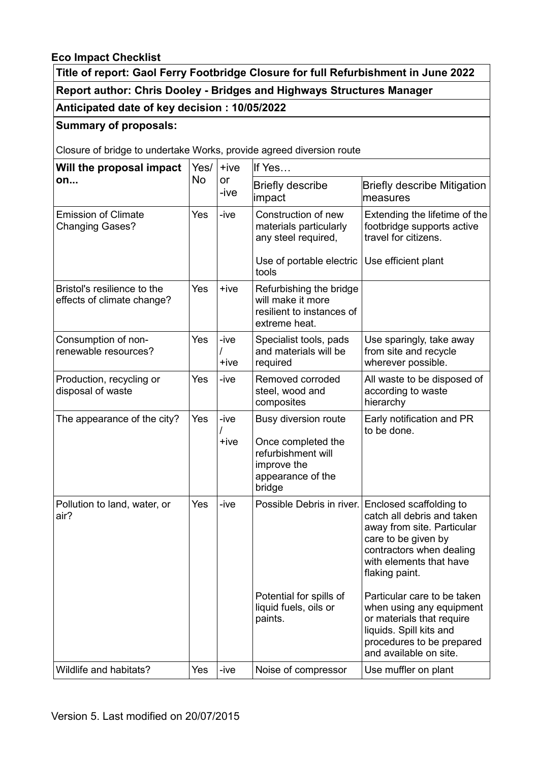## **Eco Impact Checklist**

**Title of report: Gaol Ferry Footbridge Closure for full Refurbishment in June 2022 Report author: Chris Dooley - Bridges and Highways Structures Manager**

# **Anticipated date of key decision : 10/05/2022**

### **Summary of proposals:**

Closure of bridge to undertake Works, provide agreed diversion route

| Will the proposal impact<br>on                            | Yes/<br>No | $+ive$<br>or<br>-ive | If Yes                                                                                                         |                                                                                                                                                                                     |
|-----------------------------------------------------------|------------|----------------------|----------------------------------------------------------------------------------------------------------------|-------------------------------------------------------------------------------------------------------------------------------------------------------------------------------------|
|                                                           |            |                      | <b>Briefly describe</b><br>impact                                                                              | <b>Briefly describe Mitigation</b><br>measures                                                                                                                                      |
| <b>Emission of Climate</b><br><b>Changing Gases?</b>      | Yes        | -ive                 | Construction of new<br>materials particularly<br>any steel required,                                           | Extending the lifetime of the<br>footbridge supports active<br>travel for citizens.                                                                                                 |
|                                                           |            |                      | Use of portable electric<br>tools                                                                              | Use efficient plant                                                                                                                                                                 |
| Bristol's resilience to the<br>effects of climate change? | Yes        | $+ive$               | Refurbishing the bridge<br>will make it more<br>resilient to instances of<br>extreme heat.                     |                                                                                                                                                                                     |
| Consumption of non-<br>renewable resources?               | Yes        | -ive<br>+ive         | Specialist tools, pads<br>and materials will be<br>required                                                    | Use sparingly, take away<br>from site and recycle<br>wherever possible.                                                                                                             |
| Production, recycling or<br>disposal of waste             | Yes        | -ive                 | Removed corroded<br>steel, wood and<br>composites                                                              | All waste to be disposed of<br>according to waste<br>hierarchy                                                                                                                      |
| The appearance of the city?                               | Yes        | -ive<br>+ive         | Busy diversion route<br>Once completed the<br>refurbishment will<br>improve the<br>appearance of the<br>bridge | Early notification and PR<br>to be done.                                                                                                                                            |
| Pollution to land, water, or<br>air?                      | Yes        | -ive                 | Possible Debris in river.                                                                                      | Enclosed scaffolding to<br>catch all debris and taken<br>away from site. Particular<br>care to be given by<br>contractors when dealing<br>with elements that have<br>flaking paint. |
|                                                           |            |                      | Potential for spills of<br>liquid fuels, oils or<br>paints.                                                    | Particular care to be taken<br>when using any equipment<br>or materials that require<br>liquids. Spill kits and<br>procedures to be prepared<br>and available on site.              |
| Wildlife and habitats?                                    | Yes        | -ive                 | Noise of compressor                                                                                            | Use muffler on plant                                                                                                                                                                |